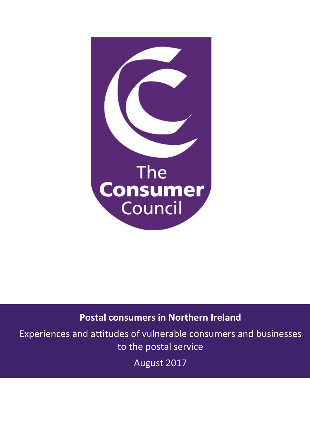

# **Postal consumers in Northern Ireland**

Experiences and attitudes of vulnerable consumers and businesses to the postal service

August 2017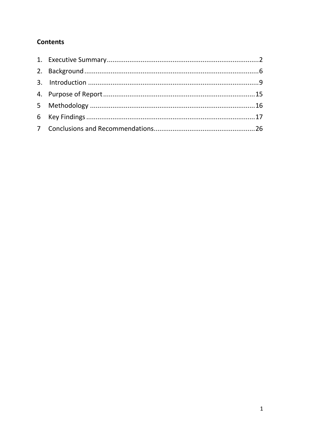## **Contents**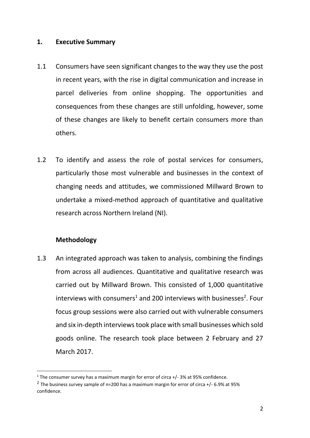## <span id="page-2-0"></span>**1. Executive Summary**

- 1.1 Consumers have seen significant changes to the way they use the post in recent years, with the rise in digital communication and increase in parcel deliveries from online shopping. The opportunities and consequences from these changes are still unfolding, however, some of these changes are likely to benefit certain consumers more than others.
- 1.2 To identify and assess the role of postal services for consumers, particularly those most vulnerable and businesses in the context of changing needs and attitudes, we commissioned Millward Brown to undertake a mixed-method approach of quantitative and qualitative research across Northern Ireland (NI).

## **Methodology**

 $\overline{a}$ 

1.3 An integrated approach was taken to analysis, combining the findings from across all audiences. Quantitative and qualitative research was carried out by Millward Brown. This consisted of 1,000 quantitative interviews with consumers<sup>1</sup> and 200 interviews with businesses<sup>2</sup>. Four focus group sessions were also carried out with vulnerable consumers and six in-depth interviews took place with small businesses which sold goods online. The research took place between 2 February and 27 March 2017.

 $1$  The consumer survey has a maximum margin for error of circa  $+/-$  3% at 95% confidence.

<sup>&</sup>lt;sup>2</sup> The business survey sample of n=200 has a maximum margin for error of circa +/- 6.9% at 95% confidence.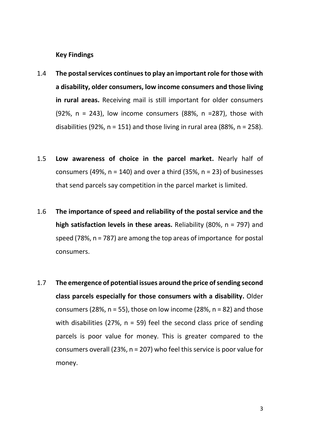**Key Findings**

- 1.4 **The postal services continues to play an important role for those with a disability, older consumers, low income consumers and those living in rural areas.** Receiving mail is still important for older consumers (92%,  $n = 243$ ), low income consumers (88%,  $n = 287$ ), those with disabilities (92%,  $n = 151$ ) and those living in rural area (88%,  $n = 258$ ).
- 1.5 **Low awareness of choice in the parcel market.** Nearly half of consumers (49%,  $n = 140$ ) and over a third (35%,  $n = 23$ ) of businesses that send parcels say competition in the parcel market is limited.
- 1.6 **The importance of speed and reliability of the postal service and the high satisfaction levels in these areas.** Reliability (80%, n = 797) and speed (78%, n = 787) are among the top areas of importance for postal consumers.
- 1.7 **The emergence of potential issues around the price of sending second class parcels especially for those consumers with a disability.** Older consumers (28%,  $n = 55$ ), those on low income (28%,  $n = 82$ ) and those with disabilities (27%,  $n = 59$ ) feel the second class price of sending parcels is poor value for money. This is greater compared to the consumers overall (23%, n = 207) who feel this service is poor value for money.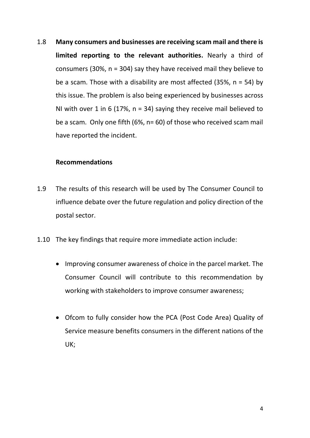1.8 **Many consumers and businesses are receiving scam mail and there is limited reporting to the relevant authorities.** Nearly a third of consumers (30%, n = 304) say they have received mail they believe to be a scam. Those with a disability are most affected (35%,  $n = 54$ ) by this issue. The problem is also being experienced by businesses across NI with over 1 in 6 (17%,  $n = 34$ ) saying they receive mail believed to be a scam. Only one fifth (6%, n= 60) of those who received scam mail have reported the incident.

## **Recommendations**

- 1.9 The results of this research will be used by The Consumer Council to influence debate over the future regulation and policy direction of the postal sector.
- 1.10 The key findings that require more immediate action include:
	- Improving consumer awareness of choice in the parcel market. The Consumer Council will contribute to this recommendation by working with stakeholders to improve consumer awareness;
	- Ofcom to fully consider how the PCA (Post Code Area) Quality of Service measure benefits consumers in the different nations of the UK;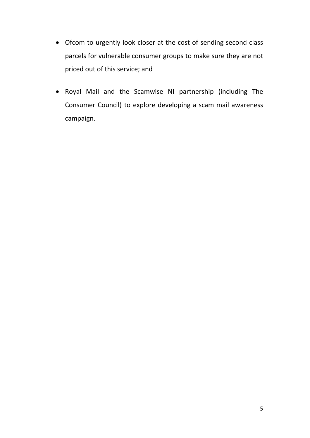- Ofcom to urgently look closer at the cost of sending second class parcels for vulnerable consumer groups to make sure they are not priced out of this service; and
- Royal Mail and the Scamwise NI partnership (including The Consumer Council) to explore developing a scam mail awareness campaign.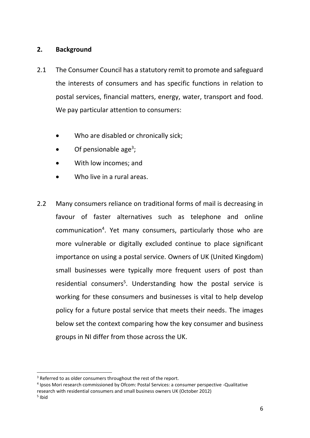## <span id="page-6-0"></span>**2. Background**

- 2.1 The Consumer Council has a statutory remit to promote and safeguard the interests of consumers and has specific functions in relation to postal services, financial matters, energy, water, transport and food. We pay particular attention to consumers:
	- Who are disabled or chronically sick;
	- $\bullet$  Of pensionable age<sup>3</sup>;
	- With low incomes; and
	- Who live in a rural areas.
- 2.2 Many consumers reliance on traditional forms of mail is decreasing in favour of faster alternatives such as telephone and online communication<sup>4</sup>. Yet many consumers, particularly those who are more vulnerable or digitally excluded continue to place significant importance on using a postal service. Owners of UK (United Kingdom) small businesses were typically more frequent users of post than residential consumers<sup>5</sup>. Understanding how the postal service is working for these consumers and businesses is vital to help develop policy for a future postal service that meets their needs. The images below set the context comparing how the key consumer and business groups in NI differ from those across the UK.

<sup>&</sup>lt;sup>3</sup> Referred to as older consumers throughout the rest of the report.

<sup>4</sup> Ipsos Mori research commissioned by Ofcom: Postal Services: a consumer perspective -Qualitative research with residential consumers and small business owners UK (October 2012)

<sup>&</sup>lt;sup>5</sup> Ibid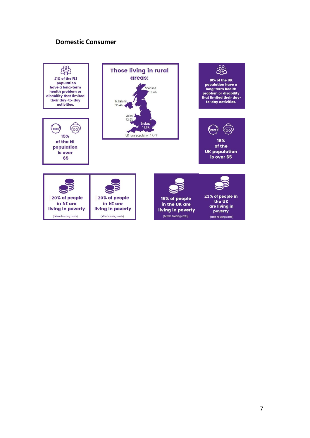## **Domestic Consumer**

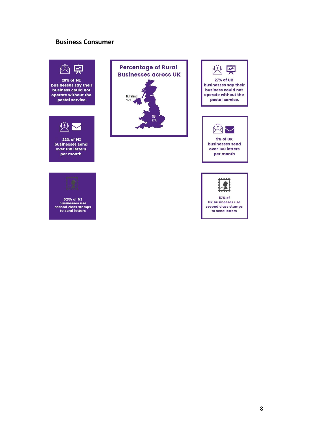#### **Business Consumer**





22% of NI businesses send over 100 letters per month











8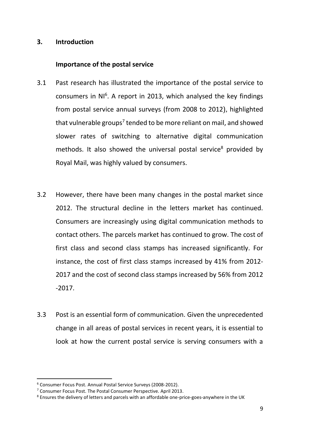#### <span id="page-9-0"></span>**3. Introduction**

## **Importance of the postal service**

- 3.1 Past research has illustrated the importance of the postal service to consumers in NI<sup>6</sup>. A report in 2013, which analysed the key findings from postal service annual surveys (from 2008 to 2012), highlighted that vulnerable groups<sup>7</sup> tended to be more reliant on mail, and showed slower rates of switching to alternative digital communication methods. It also showed the universal postal service<sup>8</sup> provided by Royal Mail, was highly valued by consumers.
- 3.2 However, there have been many changes in the postal market since 2012. The structural decline in the letters market has continued. Consumers are increasingly using digital communication methods to contact others. The parcels market has continued to grow. The cost of first class and second class stamps has increased significantly. For instance, the cost of first class stamps increased by 41% from 2012- 2017 and the cost of second class stamps increased by 56% from 2012 -2017.
- 3.3 Post is an essential form of communication. Given the unprecedented change in all areas of postal services in recent years, it is essential to look at how the current postal service is serving consumers with a

<sup>6</sup> Consumer Focus Post. Annual Postal Service Surveys (2008-2012).

<sup>7</sup> Consumer Focus Post. The Postal Consumer Perspective. April 2013.

<sup>8</sup> Ensures the delivery of letters and parcels with an affordable one-price-goes-anywhere in the UK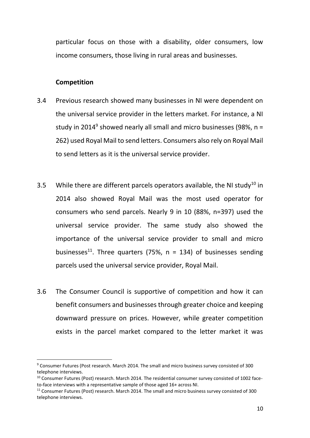particular focus on those with a disability, older consumers, low income consumers, those living in rural areas and businesses.

#### **Competition**

- 3.4 Previous research showed many businesses in NI were dependent on the universal service provider in the letters market. For instance, a NI study in 2014<sup>9</sup> showed nearly all small and micro businesses (98%, n = 262) used Royal Mail to send letters. Consumers also rely on Royal Mail to send letters as it is the universal service provider.
- 3.5 While there are different parcels operators available, the NI study<sup>10</sup> in 2014 also showed Royal Mail was the most used operator for consumers who send parcels. Nearly 9 in 10 (88%, n=397) used the universal service provider. The same study also showed the importance of the universal service provider to small and micro businesses<sup>11</sup>. Three quarters (75%,  $n = 134$ ) of businesses sending parcels used the universal service provider, Royal Mail.
- 3.6 The Consumer Council is supportive of competition and how it can benefit consumers and businesses through greater choice and keeping downward pressure on prices. However, while greater competition exists in the parcel market compared to the letter market it was

<sup>9</sup> Consumer Futures (Post research. March 2014. The small and micro business survey consisted of 300 telephone interviews.

<sup>&</sup>lt;sup>10</sup> Consumer Futures (Post) research. March 2014. The residential consumer survey consisted of 1002 faceto-face interviews with a representative sample of those aged 16+ across NI.

<sup>&</sup>lt;sup>11</sup> Consumer Futures (Post) research. March 2014. The small and micro business survey consisted of 300 telephone interviews.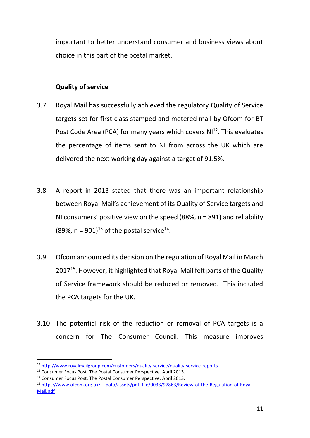important to better understand consumer and business views about choice in this part of the postal market.

## **Quality of service**

- 3.7 Royal Mail has successfully achieved the regulatory Quality of Service targets set for first class stamped and metered mail by Ofcom for BT Post Code Area (PCA) for many years which covers  $NI<sup>12</sup>$ . This evaluates the percentage of items sent to NI from across the UK which are delivered the next working day against a target of 91.5%.
- 3.8 A report in 2013 stated that there was an important relationship between Royal Mail's achievement of its Quality of Service targets and NI consumers' positive view on the speed (88%, n = 891) and reliability (89%,  $n = 901$ )<sup>13</sup> of the postal service<sup>14</sup>.
- 3.9 Ofcom announced its decision on the regulation of Royal Mail in March 2017<sup>15</sup>. However, it highlighted that Royal Mail felt parts of the Quality of Service framework should be reduced or removed. This included the PCA targets for the UK.
- 3.10 The potential risk of the reduction or removal of PCA targets is a concern for The Consumer Council. This measure improves

<sup>12</sup> <http://www.royalmailgroup.com/customers/quality-service/quality-service-reports>

<sup>&</sup>lt;sup>13</sup> Consumer Focus Post. The Postal Consumer Perspective. April 2013.

<sup>&</sup>lt;sup>14</sup> Consumer Focus Post. The Postal Consumer Perspective. April 2013.

<sup>15</sup> https://www.ofcom.org.uk/ data/assets/pdf file/0033/97863/Review-of-the-Regulation-of-Royal-[Mail.pdf](https://www.ofcom.org.uk/__data/assets/pdf_file/0033/97863/Review-of-the-Regulation-of-Royal-Mail.pdf)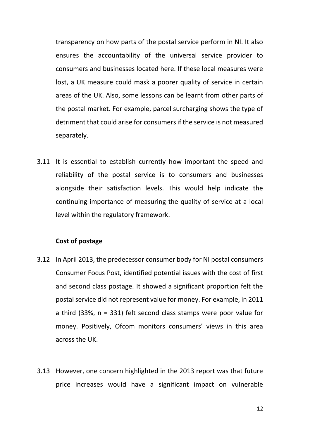transparency on how parts of the postal service perform in NI. It also ensures the accountability of the universal service provider to consumers and businesses located here. If these local measures were lost, a UK measure could mask a poorer quality of service in certain areas of the UK. Also, some lessons can be learnt from other parts of the postal market. For example, parcel surcharging shows the type of detriment that could arise for consumers if the service is not measured separately.

3.11 It is essential to establish currently how important the speed and reliability of the postal service is to consumers and businesses alongside their satisfaction levels. This would help indicate the continuing importance of measuring the quality of service at a local level within the regulatory framework.

#### **Cost of postage**

- 3.12 In April 2013, the predecessor consumer body for NI postal consumers Consumer Focus Post, identified potential issues with the cost of first and second class postage. It showed a significant proportion felt the postal service did not represent value for money. For example, in 2011 a third (33%, n = 331) felt second class stamps were poor value for money. Positively, Ofcom monitors consumers' views in this area across the UK.
- 3.13 However, one concern highlighted in the 2013 report was that future price increases would have a significant impact on vulnerable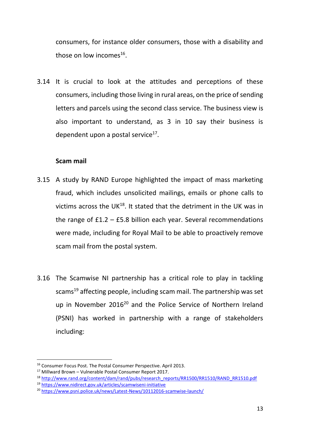consumers, for instance older consumers, those with a disability and those on low incomes $^{16}$ .

3.14 It is crucial to look at the attitudes and perceptions of these consumers, including those living in rural areas, on the price of sending letters and parcels using the second class service. The business view is also important to understand, as 3 in 10 say their business is dependent upon a postal service<sup>17</sup>.

## **Scam mail**

- 3.15 A study by RAND Europe highlighted the impact of mass marketing fraud, which includes unsolicited mailings, emails or phone calls to victims across the UK $^{18}$ . It stated that the detriment in the UK was in the range of  $£1.2 - £5.8$  billion each year. Several recommendations were made, including for Royal Mail to be able to proactively remove scam mail from the postal system.
- 3.16 The Scamwise NI partnership has a critical role to play in tackling scams<sup>19</sup> affecting people, including scam mail. The partnership was set up in November 2016<sup>20</sup> and the Police Service of Northern Ireland (PSNI) has worked in partnership with a range of stakeholders including:

<sup>16</sup> Consumer Focus Post. The Postal Consumer Perspective. April 2013.

<sup>17</sup> Millward Brown – Vulnerable Postal Consumer Report 2017.

<sup>&</sup>lt;sup>18</sup> [http://www.rand.org/content/dam/rand/pubs/research\\_reports/RR1500/RR1510/RAND\\_RR1510.pdf](http://www.rand.org/content/dam/rand/pubs/research_reports/RR1500/RR1510/RAND_RR1510.pdf)

<sup>19</sup> <https://www.nidirect.gov.uk/articles/scamwiseni-initiative>

<sup>20</sup> <https://www.psni.police.uk/news/Latest-News/10112016-scamwise-launch/>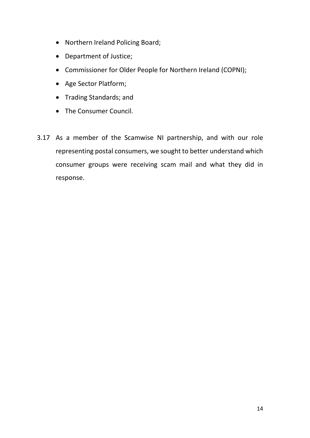- Northern Ireland Policing Board;
- Department of Justice;
- Commissioner for Older People for Northern Ireland (COPNI);
- Age Sector Platform;
- Trading Standards; and
- The Consumer Council.
- 3.17 As a member of the Scamwise NI partnership, and with our role representing postal consumers, we sought to better understand which consumer groups were receiving scam mail and what they did in response.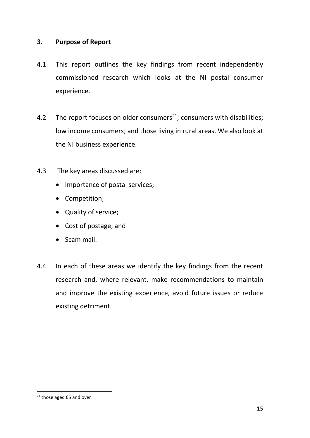## <span id="page-15-0"></span>**3. Purpose of Report**

- 4.1 This report outlines the key findings from recent independently commissioned research which looks at the NI postal consumer experience.
- 4.2 The report focuses on older consumers<sup>21</sup>; consumers with disabilities; low income consumers; and those living in rural areas. We also look at the NI business experience.
- 4.3 The key areas discussed are:
	- Importance of postal services;
	- Competition;
	- Quality of service;
	- Cost of postage; and
	- Scam mail.
- 4.4 In each of these areas we identify the key findings from the recent research and, where relevant, make recommendations to maintain and improve the existing experience, avoid future issues or reduce existing detriment.

<sup>&</sup>lt;sup>21</sup> those aged 65 and over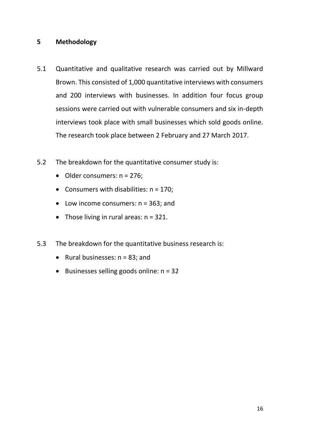## <span id="page-16-0"></span>**5 Methodology**

- 5.1 Quantitative and qualitative research was carried out by Millward Brown. This consisted of 1,000 quantitative interviews with consumers and 200 interviews with businesses. In addition four focus group sessions were carried out with vulnerable consumers and six in-depth interviews took place with small businesses which sold goods online. The research took place between 2 February and 27 March 2017.
- 5.2 The breakdown for the quantitative consumer study is:
	- $\bullet$  Older consumers:  $n = 276$ ;
	- Consumers with disabilities:  $n = 170$ ;
	- Low income consumers:  $n = 363$ ; and
	- Those living in rural areas:  $n = 321$ .
- 5.3 The breakdown for the quantitative business research is:
	- Rural businesses:  $n = 83$ ; and
	- $\bullet$  Businesses selling goods online:  $n = 32$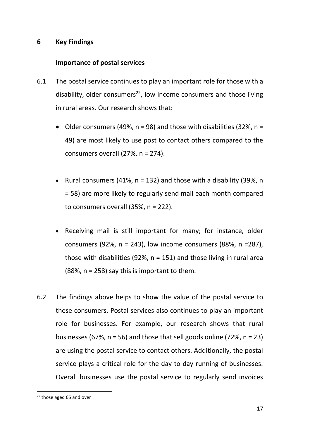## <span id="page-17-0"></span>**6 Key Findings**

## **Importance of postal services**

- 6.1 The postal service continues to play an important role for those with a disability, older consumers<sup>22</sup>, low income consumers and those living in rural areas. Our research shows that:
	- Older consumers (49%,  $n = 98$ ) and those with disabilities (32%,  $n =$ 49) are most likely to use post to contact others compared to the consumers overall (27%, n = 274).
	- Rural consumers (41%,  $n = 132$ ) and those with a disability (39%, n = 58) are more likely to regularly send mail each month compared to consumers overall (35%, n = 222).
	- Receiving mail is still important for many; for instance, older consumers (92%,  $n = 243$ ), low income consumers (88%,  $n = 287$ ), those with disabilities (92%,  $n = 151$ ) and those living in rural area  $(88\%$ , n = 258) say this is important to them.
- 6.2 The findings above helps to show the value of the postal service to these consumers. Postal services also continues to play an important role for businesses. For example, our research shows that rural businesses (67%,  $n = 56$ ) and those that sell goods online (72%,  $n = 23$ ) are using the postal service to contact others. Additionally, the postal service plays a critical role for the day to day running of businesses. Overall businesses use the postal service to regularly send invoices

<sup>22</sup> those aged 65 and over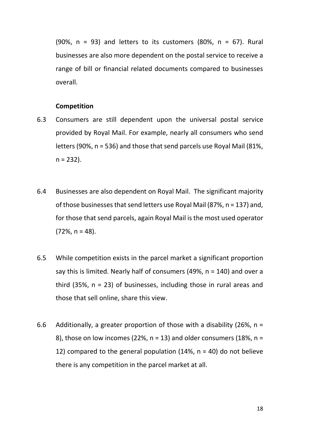(90%,  $n = 93$ ) and letters to its customers (80%,  $n = 67$ ). Rural businesses are also more dependent on the postal service to receive a range of bill or financial related documents compared to businesses overall.

#### **Competition**

- 6.3 Consumers are still dependent upon the universal postal service provided by Royal Mail. For example, nearly all consumers who send letters (90%, n = 536) and those that send parcels use Royal Mail (81%,  $n = 232$ ).
- 6.4 Businesses are also dependent on Royal Mail. The significant majority of those businesses that send letters use Royal Mail (87%, n = 137) and, for those that send parcels, again Royal Mail is the most used operator  $(72\%, n = 48)$ .
- 6.5 While competition exists in the parcel market a significant proportion say this is limited. Nearly half of consumers (49%, n = 140) and over a third  $(35\%, n = 23)$  of businesses, including those in rural areas and those that sell online, share this view.
- 6.6 Additionally, a greater proportion of those with a disability (26%,  $n =$ 8), those on low incomes (22%,  $n = 13$ ) and older consumers (18%,  $n =$ 12) compared to the general population  $(14\% , n = 40)$  do not believe there is any competition in the parcel market at all.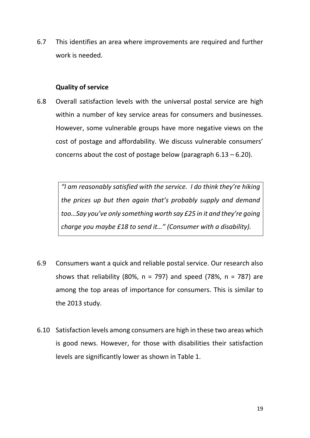6.7 This identifies an area where improvements are required and further work is needed.

#### **Quality of service**

6.8 Overall satisfaction levels with the universal postal service are high within a number of key service areas for consumers and businesses. However, some vulnerable groups have more negative views on the cost of postage and affordability. We discuss vulnerable consumers' concerns about the cost of postage below (paragraph  $6.13 - 6.20$ ).

> *"I am reasonably satisfied with the service. I do think they're hiking the prices up but then again that's probably supply and demand too…Say you've only something worth say £25 in it and they're going charge you maybe £18 to send it…" (Consumer with a disability).*

- 6.9 Consumers want a quick and reliable postal service. Our research also shows that reliability (80%,  $n = 797$ ) and speed (78%,  $n = 787$ ) are among the top areas of importance for consumers. This is similar to the 2013 study.
- 6.10 Satisfaction levels among consumers are high in these two areas which is good news. However, for those with disabilities their satisfaction levels are significantly lower as shown in Table 1.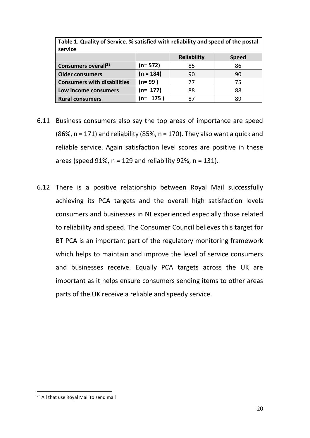| Table 1. Quality of Service. % satisfied with reliability and speed of the postal<br>service |             |                    |              |
|----------------------------------------------------------------------------------------------|-------------|--------------------|--------------|
|                                                                                              |             | <b>Reliability</b> | <b>Speed</b> |
| Consumers overall <sup>23</sup>                                                              | $(n=572)$   | 85                 | 86           |
| <b>Older consumers</b>                                                                       | $(n = 184)$ | 90                 | 90           |
| <b>Consumers with disabilities</b>                                                           | $(n=99)$    | 77                 | 75           |
| Low income consumers                                                                         | $(n= 177)$  | 88                 | 88           |
| <b>Rural consumers</b>                                                                       | (n= 175)    | 87                 | 89           |

- 6.11 Business consumers also say the top areas of importance are speed (86%,  $n = 171$ ) and reliability (85%,  $n = 170$ ). They also want a quick and reliable service. Again satisfaction level scores are positive in these areas (speed 91%,  $n = 129$  and reliability 92%,  $n = 131$ ).
- 6.12 There is a positive relationship between Royal Mail successfully achieving its PCA targets and the overall high satisfaction levels consumers and businesses in NI experienced especially those related to reliability and speed. The Consumer Council believes this target for BT PCA is an important part of the regulatory monitoring framework which helps to maintain and improve the level of service consumers and businesses receive. Equally PCA targets across the UK are important as it helps ensure consumers sending items to other areas parts of the UK receive a reliable and speedy service.

<sup>23</sup> All that use Royal Mail to send mail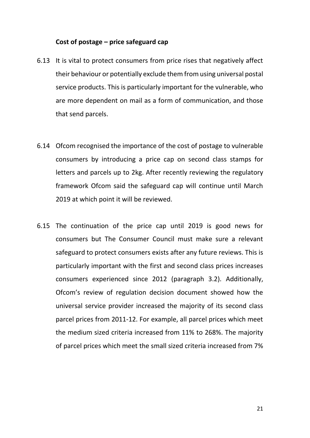#### **Cost of postage – price safeguard cap**

- 6.13 It is vital to protect consumers from price rises that negatively affect their behaviour or potentially exclude them from using universal postal service products. This is particularly important for the vulnerable, who are more dependent on mail as a form of communication, and those that send parcels.
- 6.14 Ofcom recognised the importance of the cost of postage to vulnerable consumers by introducing a price cap on second class stamps for letters and parcels up to 2kg. After recently reviewing the regulatory framework Ofcom said the safeguard cap will continue until March 2019 at which point it will be reviewed.
- 6.15 The continuation of the price cap until 2019 is good news for consumers but The Consumer Council must make sure a relevant safeguard to protect consumers exists after any future reviews. This is particularly important with the first and second class prices increases consumers experienced since 2012 (paragraph 3.2). Additionally, Ofcom's review of regulation decision document showed how the universal service provider increased the majority of its second class parcel prices from 2011-12. For example, all parcel prices which meet the medium sized criteria increased from 11% to 268%. The majority of parcel prices which meet the small sized criteria increased from 7%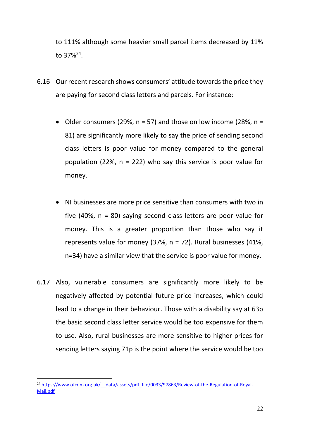to 111% although some heavier small parcel items decreased by 11% to 37%<sup>24</sup>.

- 6.16 Our recent research shows consumers' attitude towards the price they are paying for second class letters and parcels. For instance:
	- Older consumers (29%,  $n = 57$ ) and those on low income (28%,  $n =$ 81) are significantly more likely to say the price of sending second class letters is poor value for money compared to the general population (22%,  $n = 222$ ) who say this service is poor value for money.
	- NI businesses are more price sensitive than consumers with two in five (40%,  $n = 80$ ) saying second class letters are poor value for money. This is a greater proportion than those who say it represents value for money (37%,  $n = 72$ ). Rural businesses (41%, n=34) have a similar view that the service is poor value for money.
- 6.17 Also, vulnerable consumers are significantly more likely to be negatively affected by potential future price increases, which could lead to a change in their behaviour. Those with a disability say at 63p the basic second class letter service would be too expensive for them to use. Also, rural businesses are more sensitive to higher prices for sending letters saying 71p is the point where the service would be too

<sup>&</sup>lt;sup>24</sup> https://www.ofcom.org.uk/ data/assets/pdf file/0033/97863/Review-of-the-Regulation-of-Royal-[Mail.pdf](https://www.ofcom.org.uk/__data/assets/pdf_file/0033/97863/Review-of-the-Regulation-of-Royal-Mail.pdf)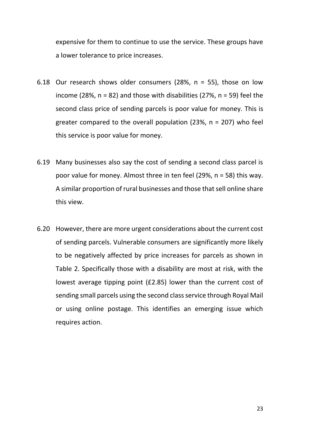expensive for them to continue to use the service. These groups have a lower tolerance to price increases.

- 6.18 Our research shows older consumers (28%,  $n = 55$ ), those on low income (28%,  $n = 82$ ) and those with disabilities (27%,  $n = 59$ ) feel the second class price of sending parcels is poor value for money. This is greater compared to the overall population  $(23\% , n = 207)$  who feel this service is poor value for money.
- 6.19 Many businesses also say the cost of sending a second class parcel is poor value for money. Almost three in ten feel (29%, n = 58) this way. A similar proportion of rural businesses and those that sell online share this view.
- 6.20 However, there are more urgent considerations about the current cost of sending parcels. Vulnerable consumers are significantly more likely to be negatively affected by price increases for parcels as shown in Table 2. Specifically those with a disability are most at risk, with the lowest average tipping point (£2.85) lower than the current cost of sending small parcels using the second class service through Royal Mail or using online postage. This identifies an emerging issue which requires action.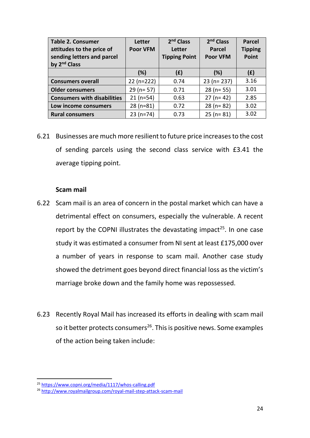| <b>Table 2. Consumer</b><br>attitudes to the price of<br>sending letters and parcel<br>by 2 <sup>nd</sup> Class | Letter<br><b>Poor VFM</b> | 2 <sup>nd</sup> Class<br><b>Letter</b><br><b>Tipping Point</b> | $2nd$ Class<br><b>Parcel</b><br><b>Poor VFM</b> | <b>Parcel</b><br><b>Tipping</b><br>Point |
|-----------------------------------------------------------------------------------------------------------------|---------------------------|----------------------------------------------------------------|-------------------------------------------------|------------------------------------------|
|                                                                                                                 | (%)                       | (E)                                                            | (%)                                             | (E)                                      |
| <b>Consumers overall</b>                                                                                        | $22 (n=222)$              | 0.74                                                           | $23 (n = 237)$                                  | 3.16                                     |
| <b>Older consumers</b>                                                                                          | $29 (n = 57)$             | 0.71                                                           | $28$ (n= 55)                                    | 3.01                                     |
| <b>Consumers with disabilities</b>                                                                              | $21(n=54)$                | 0.63                                                           | $27 (n = 42)$                                   | 2.85                                     |
| Low income consumers                                                                                            | $28(n=81)$                | 0.72                                                           | $28$ (n= 82)                                    | 3.02                                     |
| <b>Rural consumers</b>                                                                                          | $23(n=74)$                | 0.73                                                           | $25 (n = 81)$                                   | 3.02                                     |

6.21 Businesses are much more resilient to future price increases to the cost of sending parcels using the second class service with £3.41 the average tipping point.

#### **Scam mail**

- 6.22 Scam mail is an area of concern in the postal market which can have a detrimental effect on consumers, especially the vulnerable. A recent report by the COPNI illustrates the devastating impact<sup>25</sup>. In one case study it was estimated a consumer from NI sent at least £175,000 over a number of years in response to scam mail. Another case study showed the detriment goes beyond direct financial loss as the victim's marriage broke down and the family home was repossessed.
- 6.23 Recently Royal Mail has increased its efforts in dealing with scam mail so it better protects consumers<sup>26</sup>. This is positive news. Some examples of the action being taken include:

<sup>25</sup> <https://www.copni.org/media/1117/whos-calling.pdf>

<sup>26</sup> <http://www.royalmailgroup.com/royal-mail-step-attack-scam-mail>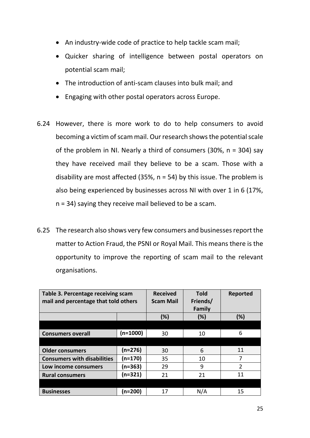- An industry-wide code of practice to help tackle scam mail;
- Quicker sharing of intelligence between postal operators on potential scam mail;
- The introduction of anti-scam clauses into bulk mail; and
- Engaging with other postal operators across Europe.
- 6.24 However, there is more work to do to help consumers to avoid becoming a victim of scam mail. Our research shows the potential scale of the problem in NI. Nearly a third of consumers  $(30\% , n = 304)$  say they have received mail they believe to be a scam. Those with a disability are most affected (35%,  $n = 54$ ) by this issue. The problem is also being experienced by businesses across NI with over 1 in 6 (17%, n = 34) saying they receive mail believed to be a scam.
- 6.25 The research also shows very few consumers and businesses report the matter to Action Fraud, the PSNI or Royal Mail. This means there is the opportunity to improve the reporting of scam mail to the relevant organisations.

| Table 3. Percentage receiving scam<br>mail and percentage that told others |           | <b>Received</b><br><b>Scam Mail</b> | <b>Told</b><br>Friends/<br>Family | <b>Reported</b> |
|----------------------------------------------------------------------------|-----------|-------------------------------------|-----------------------------------|-----------------|
|                                                                            |           | (%)                                 | (%)                               | (%)             |
|                                                                            |           |                                     |                                   |                 |
| <b>Consumers overall</b>                                                   | (n=1000)  | 30                                  | 10                                | 6               |
|                                                                            |           |                                     |                                   |                 |
| <b>Older consumers</b>                                                     | $(n=276)$ | 30                                  | 6                                 | 11              |
| <b>Consumers with disabilities</b>                                         | $(n=170)$ | 35                                  | 10                                | 7               |
| Low income consumers                                                       | (n=363)   | 29                                  | 9                                 | $\overline{2}$  |
| <b>Rural consumers</b>                                                     | $(n=321)$ | 21                                  | 21                                | 11              |
|                                                                            |           |                                     |                                   |                 |
| <b>Businesses</b>                                                          | (n=200)   | 17                                  | N/A                               | 15              |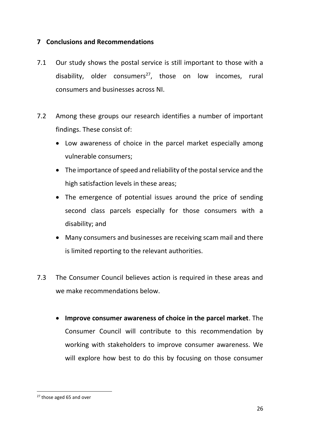## <span id="page-26-0"></span>**7 Conclusions and Recommendations**

- 7.1 Our study shows the postal service is still important to those with a disability, older consumers<sup>27</sup>, those on low incomes, rural consumers and businesses across NI.
- 7.2 Among these groups our research identifies a number of important findings. These consist of:
	- Low awareness of choice in the parcel market especially among vulnerable consumers;
	- The importance of speed and reliability of the postal service and the high satisfaction levels in these areas;
	- The emergence of potential issues around the price of sending second class parcels especially for those consumers with a disability; and
	- Many consumers and businesses are receiving scam mail and there is limited reporting to the relevant authorities.
- 7.3 The Consumer Council believes action is required in these areas and we make recommendations below.
	- **Improve consumer awareness of choice in the parcel market**. The Consumer Council will contribute to this recommendation by working with stakeholders to improve consumer awareness. We will explore how best to do this by focusing on those consumer

<sup>&</sup>lt;sup>27</sup> those aged 65 and over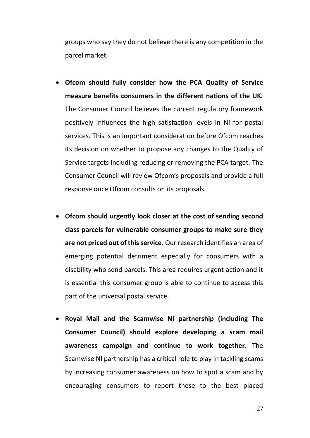groups who say they do not believe there is any competition in the parcel market.

- **Ofcom should fully consider how the PCA Quality of Service measure benefits consumers in the different nations of the UK.**  The Consumer Council believes the current regulatory framework positively influences the high satisfaction levels in NI for postal services. This is an important consideration before Ofcom reaches its decision on whether to propose any changes to the Quality of Service targets including reducing or removing the PCA target. The Consumer Council will review Ofcom's proposals and provide a full response once Ofcom consults on its proposals.
- **Ofcom should urgently look closer at the cost of sending second class parcels for vulnerable consumer groups to make sure they are not priced out of this service.** Our research identifies an area of emerging potential detriment especially for consumers with a disability who send parcels. This area requires urgent action and it is essential this consumer group is able to continue to access this part of the universal postal service.
- **Royal Mail and the Scamwise NI partnership (including The Consumer Council) should explore developing a scam mail awareness campaign and continue to work together.** The Scamwise NI partnership has a critical role to play in tackling scams by increasing consumer awareness on how to spot a scam and by encouraging consumers to report these to the best placed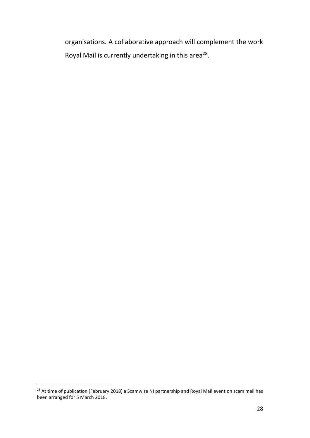organisations. A collaborative approach will complement the work Royal Mail is currently undertaking in this area<sup>28</sup>.

 $\overline{a}$ <sup>28</sup> At time of publication (February 2018) a Scamwise NI partnership and Royal Mail event on scam mail has been arranged for 5 March 2018.